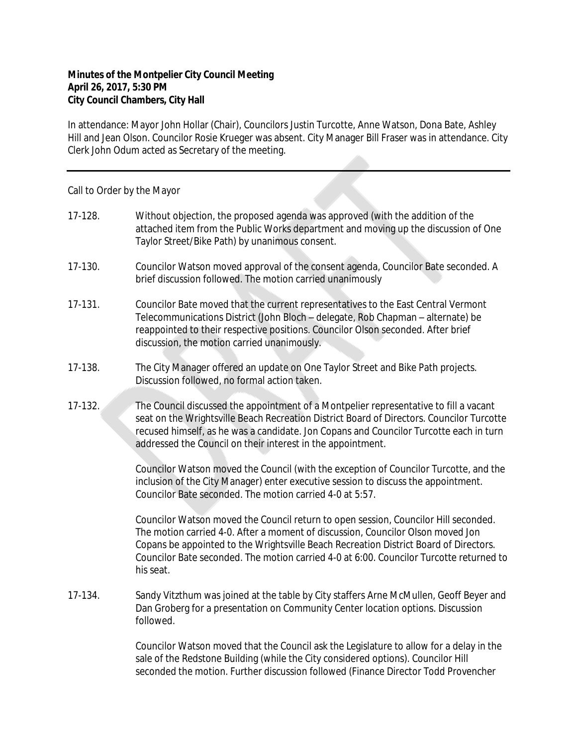## **Minutes of the Montpelier City Council Meeting April 26, 2017, 5:30 PM City Council Chambers, City Hall**

In attendance: Mayor John Hollar (Chair), Councilors Justin Turcotte, Anne Watson, Dona Bate, Ashley Hill and Jean Olson. Councilor Rosie Krueger was absent. City Manager Bill Fraser was in attendance. City Clerk John Odum acted as Secretary of the meeting.

## Call to Order by the Mayor

- 17-128. Without objection, the proposed agenda was approved (with the addition of the attached item from the Public Works department and moving up the discussion of One Taylor Street/Bike Path) by unanimous consent.
- 17-130. Councilor Watson moved approval of the consent agenda, Councilor Bate seconded. A brief discussion followed. The motion carried unanimously
- 17-131. Councilor Bate moved that the current representatives to the East Central Vermont Telecommunications District (John Bloch – delegate, Rob Chapman – alternate) be reappointed to their respective positions. Councilor Olson seconded. After brief discussion, the motion carried unanimously.
- 17-138. The City Manager offered an update on One Taylor Street and Bike Path projects. Discussion followed, no formal action taken.
- 17-132. The Council discussed the appointment of a Montpelier representative to fill a vacant seat on the Wrightsville Beach Recreation District Board of Directors. Councilor Turcotte recused himself, as he was a candidate. Jon Copans and Councilor Turcotte each in turn addressed the Council on their interest in the appointment.

Councilor Watson moved the Council (with the exception of Councilor Turcotte, and the inclusion of the City Manager) enter executive session to discuss the appointment. Councilor Bate seconded. The motion carried 4-0 at 5:57.

Councilor Watson moved the Council return to open session, Councilor Hill seconded. The motion carried 4-0. After a moment of discussion, Councilor Olson moved Jon Copans be appointed to the Wrightsville Beach Recreation District Board of Directors. Councilor Bate seconded. The motion carried 4-0 at 6:00. Councilor Turcotte returned to his seat.

17-134. Sandy Vitzthum was joined at the table by City staffers Arne McMullen, Geoff Beyer and Dan Groberg for a presentation on Community Center location options. Discussion followed.

> Councilor Watson moved that the Council ask the Legislature to allow for a delay in the sale of the Redstone Building (while the City considered options). Councilor Hill seconded the motion. Further discussion followed (Finance Director Todd Provencher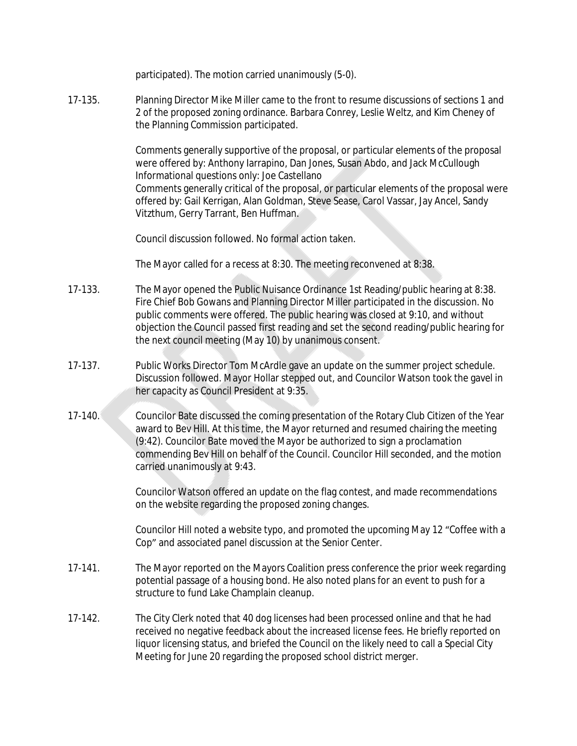participated). The motion carried unanimously (5-0).

17-135. Planning Director Mike Miller came to the front to resume discussions of sections 1 and 2 of the proposed zoning ordinance. Barbara Conrey, Leslie Weltz, and Kim Cheney of the Planning Commission participated.

> Comments generally supportive of the proposal, or particular elements of the proposal were offered by: Anthony Iarrapino, Dan Jones, Susan Abdo, and Jack McCullough Informational questions only: Joe Castellano Comments generally critical of the proposal, or particular elements of the proposal were offered by: Gail Kerrigan, Alan Goldman, Steve Sease, Carol Vassar, Jay Ancel, Sandy Vitzthum, Gerry Tarrant, Ben Huffman.

Council discussion followed. No formal action taken.

The Mayor called for a recess at 8:30. The meeting reconvened at 8:38.

- 17-133. The Mayor opened the Public Nuisance Ordinance 1st Reading/public hearing at 8:38. Fire Chief Bob Gowans and Planning Director Miller participated in the discussion. No public comments were offered. The public hearing was closed at 9:10, and without objection the Council passed first reading and set the second reading/public hearing for the next council meeting (May 10) by unanimous consent.
- 17-137. Public Works Director Tom McArdle gave an update on the summer project schedule. Discussion followed. Mayor Hollar stepped out, and Councilor Watson took the gavel in her capacity as Council President at 9:35.
- 17-140. Councilor Bate discussed the coming presentation of the Rotary Club Citizen of the Year award to Bev Hill. At this time, the Mayor returned and resumed chairing the meeting (9:42). Councilor Bate moved the Mayor be authorized to sign a proclamation commending Bev Hill on behalf of the Council. Councilor Hill seconded, and the motion carried unanimously at 9:43.

Councilor Watson offered an update on the flag contest, and made recommendations on the website regarding the proposed zoning changes.

Councilor Hill noted a website typo, and promoted the upcoming May 12 "Coffee with a Cop" and associated panel discussion at the Senior Center.

- 17-141. The Mayor reported on the Mayors Coalition press conference the prior week regarding potential passage of a housing bond. He also noted plans for an event to push for a structure to fund Lake Champlain cleanup.
- 17-142. The City Clerk noted that 40 dog licenses had been processed online and that he had received no negative feedback about the increased license fees. He briefly reported on liquor licensing status, and briefed the Council on the likely need to call a Special City Meeting for June 20 regarding the proposed school district merger.